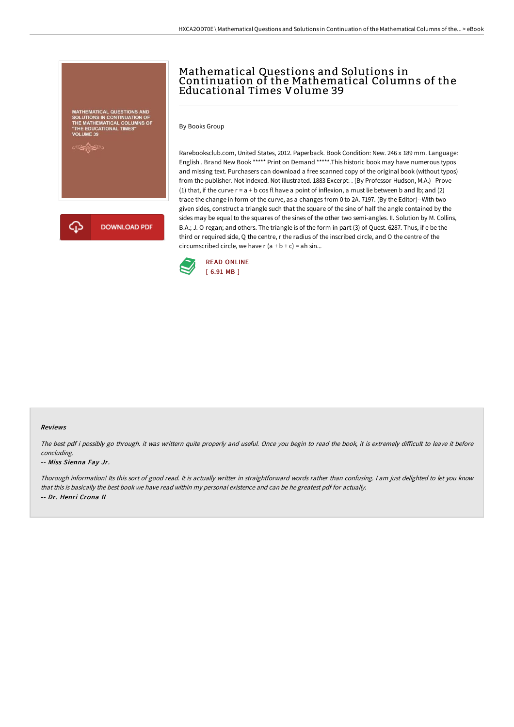# MATHEMATICAL QUESTIONS AND<br>|OLUTIONS IN CONTINUATION OF<br>|HE MATHEMATICAL COLUMNS OF<br>THE EDUCATIONAL TIMES"



## Mathematical Questions and Solutions in Continuation of the Mathematical Columns of the Educational Times Volume 39

By Books Group

Rarebooksclub.com, United States, 2012. Paperback. Book Condition: New. 246 x 189 mm. Language: English . Brand New Book \*\*\*\*\* Print on Demand \*\*\*\*\*.This historic book may have numerous typos and missing text. Purchasers can download a free scanned copy of the original book (without typos) from the publisher. Not indexed. Not illustrated. 1883 Excerpt: . (By Professor Hudson, M.A.)--Prove (1) that, if the curve  $r = a + b$  cos fl have a point of inflexion, a must lie between b and lb; and (2) trace the change in form of the curve, as a changes from 0 to 2A. 7197. (By the Editor)--With two given sides, construct a triangle such that the square of the sine of half the angle contained by the sides may be equal to the squares of the sines of the other two semi-angles. II. Solution by M. Collins, B.A.; J. O regan; and others. The triangle is of the form in part (3) of Quest. 6287. Thus, if e be the third or required side, Q the centre, r the radius of the inscribed circle, and O the centre of the circumscribed circle, we have  $r$  ( $a + b + c$ ) = ah sin...



#### Reviews

The best pdf i possibly go through. it was writtern quite properly and useful. Once you begin to read the book, it is extremely difficult to leave it before concluding.

#### -- Miss Sienna Fay Jr.

Thorough information! Its this sort of good read. It is actually writter in straightforward words rather than confusing. <sup>I</sup> am just delighted to let you know that this is basically the best book we have read within my personal existence and can be he greatest pdf for actually. -- Dr. Henri Crona II